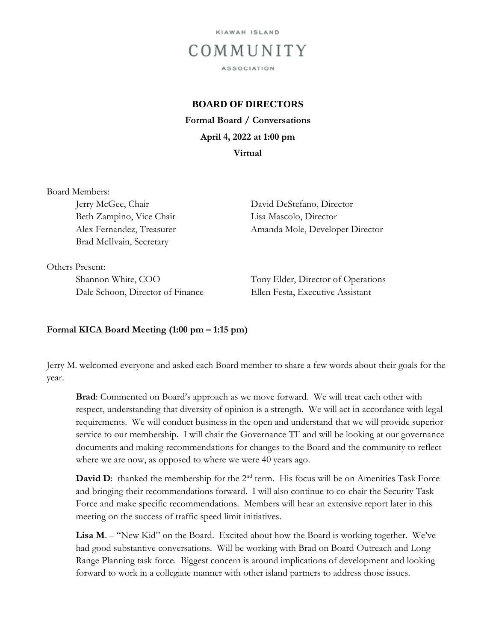

## **BOARD OF DIRECTORS**

**Formal Board / Conversations April 4, 2022 at 1:00 pm Virtual** 

Board Members:

Beth Zampino, Vice Chair Lisa Mascolo, Director Brad McIlvain, Secretary

Jerry McGee, Chair David DeStefano, Director Alex Fernandez, Treasurer Amanda Mole, Developer Director

Others Present:

Dale Schoon, Director of Finance Ellen Festa, Executive Assistant

Shannon White, COO Tony Elder, Director of Operations

## **Formal KICA Board Meeting (1:00 pm – 1:15 pm)**

Jerry M. welcomed everyone and asked each Board member to share a few words about their goals for the year.

**Brad**: Commented on Board's approach as we move forward. We will treat each other with respect, understanding that diversity of opinion is a strength. We will act in accordance with legal requirements. We will conduct business in the open and understand that we will provide superior service to our membership. I will chair the Governance TF and will be looking at our governance documents and making recommendations for changes to the Board and the community to reflect where we are now, as opposed to where we were 40 years ago.

**David D:** thanked the membership for the 2<sup>nd</sup> term. His focus will be on Amenities Task Force and bringing their recommendations forward. I will also continue to co-chair the Security Task Force and make specific recommendations. Members will hear an extensive report later in this meeting on the success of traffic speed limit initiatives.

**Lisa M**. – "New Kid" on the Board. Excited about how the Board is working together. We've had good substantive conversations. Will be working with Brad on Board Outreach and Long Range Planning task force. Biggest concern is around implications of development and looking forward to work in a collegiate manner with other island partners to address those issues.